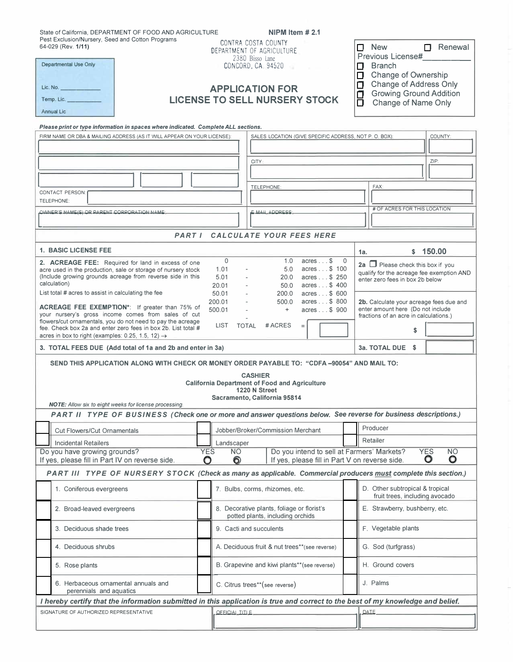| State of California, DEPARTMENT OF FOOD AND AGRICULTURE<br>Pest Exclusion/Nursery, Seed and Cotton Programs<br>64-029 (Rev. 1/11)                                      | NIPM Item $#2.1$<br>CONTRA COSTA COUNTY<br>$\Box$ Renewal<br>New<br>П.<br>DEPARTMENT OF AGRICULTURE |                                                                                |                                                                   |  |  |  |  |
|------------------------------------------------------------------------------------------------------------------------------------------------------------------------|-----------------------------------------------------------------------------------------------------|--------------------------------------------------------------------------------|-------------------------------------------------------------------|--|--|--|--|
| <b>Departmental Use Only</b>                                                                                                                                           | 2380 Bisso Lane                                                                                     | Previous License#                                                              |                                                                   |  |  |  |  |
|                                                                                                                                                                        | CONCORD, CA 94520<br>$\Box$ Branch<br>Change of Ownership<br>П.                                     |                                                                                |                                                                   |  |  |  |  |
|                                                                                                                                                                        | <b>Change of Address Only</b><br>Ω<br><b>APPLICATION FOR</b><br><b>Growing Ground Addition</b><br>α |                                                                                |                                                                   |  |  |  |  |
| Temp. Lic.                                                                                                                                                             | <b>LICENSE TO SELL NURSERY STOCK</b>                                                                |                                                                                |                                                                   |  |  |  |  |
| Ō<br>Change of Name Only<br><b>Annual Lic</b>                                                                                                                          |                                                                                                     |                                                                                |                                                                   |  |  |  |  |
| Please print or type information in spaces where indicated. Complete ALL sections.                                                                                     |                                                                                                     |                                                                                |                                                                   |  |  |  |  |
| FIRM NAME OR DBA & MAILING ADDRESS (AS IT WILL APPEAR ON YOUR LICENSE):<br>SALES LOCATION (GIVE SPECIFIC ADDRESS, NOT P. O. BOX):<br>COUNTY:                           |                                                                                                     |                                                                                |                                                                   |  |  |  |  |
|                                                                                                                                                                        |                                                                                                     |                                                                                |                                                                   |  |  |  |  |
| CITY:                                                                                                                                                                  |                                                                                                     |                                                                                | ZIP:                                                              |  |  |  |  |
|                                                                                                                                                                        |                                                                                                     |                                                                                |                                                                   |  |  |  |  |
|                                                                                                                                                                        |                                                                                                     | TELEPHONE:                                                                     | FAX:                                                              |  |  |  |  |
| <b>CONTACT PERSON:</b><br>TELEPHONE:                                                                                                                                   |                                                                                                     |                                                                                |                                                                   |  |  |  |  |
| OWNER'S NAME(S) OR PARENT CORPORATION NAME                                                                                                                             | E MAIL ADDRESS                                                                                      | # OF ACRES FOR THIS LOCATION                                                   |                                                                   |  |  |  |  |
|                                                                                                                                                                        |                                                                                                     |                                                                                |                                                                   |  |  |  |  |
| <b>PART I</b><br><b>CALCULATE YOUR FEES HERE</b>                                                                                                                       |                                                                                                     |                                                                                |                                                                   |  |  |  |  |
| <b>1. BASIC LICENSE FEE</b>                                                                                                                                            |                                                                                                     |                                                                                | \$150.00<br>1a.                                                   |  |  |  |  |
| $\mathbf{0}$<br>$acres$ \$<br>1.0<br>2. ACREAGE FEE: Required for land in excess of one<br>1.01<br>5.0<br>acres \$ 100                                                 |                                                                                                     |                                                                                | $\mathbf{0}$<br>2a $\Box$ Please check this box if you            |  |  |  |  |
| acre used in the production, sale or storage of nursery stock<br>(Include growing grounds acreage from reverse side in this                                            | qualify for the acreage fee exemption AND<br>acres \$ 250<br>enter zero fees in box 2b below        |                                                                                |                                                                   |  |  |  |  |
| calculation)<br>20.01<br>50.0<br>acres \$400<br>List total # acres to assist in calculating the fee<br>50.01<br>200.0<br>acres \$ 600                                  |                                                                                                     |                                                                                |                                                                   |  |  |  |  |
|                                                                                                                                                                        | 200.01                                                                                              | 500.0<br>acres \$ 800                                                          | 2b. Calculate your acreage fees due and                           |  |  |  |  |
| <b>ACREAGE FEE EXEMPTION*:</b> If greater than 75% of<br>your nursery's gross income comes from sales of cut                                                           | enter amount here (Do not include<br>acres \$ 900<br>fractions of an acre in calculations.)         |                                                                                |                                                                   |  |  |  |  |
| flowers/cut ornamentals, you do not need to pay the acreage<br># ACRES<br>LIST<br><b>TOTAL</b><br>$=$<br>fee. Check box 2a and enter zero fees in box 2b. List total # |                                                                                                     |                                                                                | \$                                                                |  |  |  |  |
| acres in box to right (examples: 0.25, 1.5, 12) $\rightarrow$                                                                                                          |                                                                                                     |                                                                                |                                                                   |  |  |  |  |
| 3. TOTAL FEES DUE (Add total of 1a and 2b and enter in 3a)                                                                                                             | 3a. TOTAL DUE \$                                                                                    |                                                                                |                                                                   |  |  |  |  |
| SEND THIS APPLICATION ALONG WITH CHECK OR MONEY ORDER PAYABLE TO: "CDFA-90054" AND MAIL TO:                                                                            |                                                                                                     |                                                                                |                                                                   |  |  |  |  |
| <b>CASHIER</b>                                                                                                                                                         |                                                                                                     |                                                                                |                                                                   |  |  |  |  |
| <b>California Department of Food and Agriculture</b><br>1220 N Street                                                                                                  |                                                                                                     |                                                                                |                                                                   |  |  |  |  |
| Sacramento, California 95814<br><b>NOTE:</b> Allow six to eight weeks for license processing.                                                                          |                                                                                                     |                                                                                |                                                                   |  |  |  |  |
| PART II TYPE OF BUSINESS (Check one or more and answer questions below. See reverse for business descriptions.)                                                        |                                                                                                     |                                                                                |                                                                   |  |  |  |  |
| <b>Cut Flowers/Cut Ornamentals</b>                                                                                                                                     |                                                                                                     | Jobber/Broker/Commission Merchant                                              | Producer                                                          |  |  |  |  |
| <b>Incidental Retailers</b>                                                                                                                                            | Landscaper                                                                                          |                                                                                | Retailer                                                          |  |  |  |  |
| Do you have growing grounds?                                                                                                                                           | Do you intend to sell at Farmers' Markets?<br><b>YES</b><br><b>NO</b><br><b>YES</b><br>NO.          |                                                                                |                                                                   |  |  |  |  |
| O<br>$\bullet$<br>If yes, please fill in Part V on reverse side.<br>О<br>If yes, please fill in Part IV on reverse side.<br>O                                          |                                                                                                     |                                                                                |                                                                   |  |  |  |  |
| PART III TYPE OF NURSERY STOCK (Check as many as applicable. Commercial producers must complete this section.)                                                         |                                                                                                     |                                                                                |                                                                   |  |  |  |  |
| 1. Coniferous evergreens                                                                                                                                               | 7. Bulbs, corms, rhizomes, etc.                                                                     |                                                                                | D. Other subtropical & tropical<br>fruit trees, including avocado |  |  |  |  |
| 2. Broad-leaved evergreens                                                                                                                                             |                                                                                                     | 8. Decorative plants, foliage or florist's<br>potted plants, including orchids | E. Strawberry, bushberry, etc.                                    |  |  |  |  |
| 3. Deciduous shade trees                                                                                                                                               |                                                                                                     | 9. Cacti and succulents                                                        | F. Vegetable plants                                               |  |  |  |  |
| 4. Deciduous shrubs                                                                                                                                                    |                                                                                                     | A. Deciduous fruit & nut trees**(see reverse)                                  | G. Sod (turfgrass)                                                |  |  |  |  |
| 5. Rose plants                                                                                                                                                         |                                                                                                     | B. Grapevine and kiwi plants**(see reverse)                                    | H. Ground covers                                                  |  |  |  |  |
| 6. Herbaceous ornamental annuals and<br>perennials and aquatics                                                                                                        |                                                                                                     | C. Citrus trees**(see reverse)                                                 | J. Palms                                                          |  |  |  |  |
| I hereby certify that the information submitted in this application is true and correct to the best of my knowledge and belief.                                        |                                                                                                     |                                                                                |                                                                   |  |  |  |  |
| SIGNATURE OF AUTHORIZED REPRESENTATIVE                                                                                                                                 | <b>OEEICIAL TITLE</b>                                                                               |                                                                                | DATE                                                              |  |  |  |  |
|                                                                                                                                                                        |                                                                                                     |                                                                                |                                                                   |  |  |  |  |